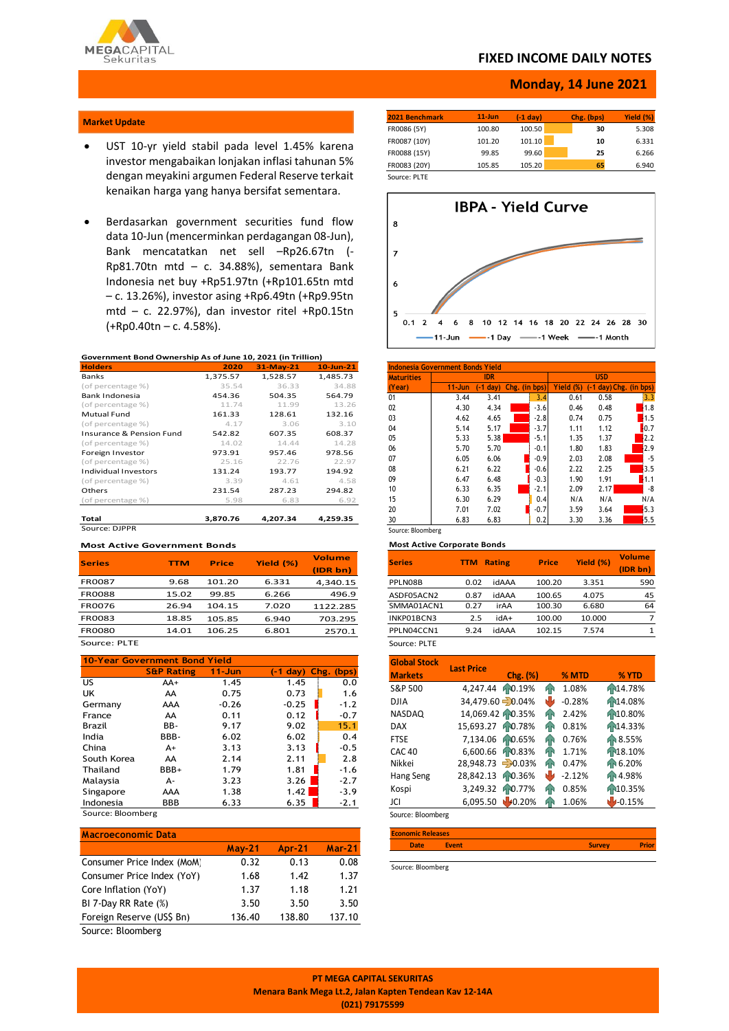

### **FIXED INCOME DAILY NOTES**

### **Monday, 14 June 2021**

### **Market Update**

- UST 10-yr yield stabil pada level 1.45% karena investor mengabaikan lonjakan inflasi tahunan 5% dengan meyakini argumen Federal Reserve terkait kenaikan harga yang hanya bersifat sementara.
- Berdasarkan government securities fund flow data 10-Jun (mencerminkan perdagangan 08-Jun), Bank mencatatkan net sell –Rp26.67tn (- Rp81.70tn mtd – c. 34.88%), sementara Bank Indonesia net buy +Rp51.97tn (+Rp101.65tn mtd – c. 13.26%), investor asing +Rp6.49tn (+Rp9.95tn mtd – c. 22.97%), dan investor ritel +Rp0.15tn (+Rp0.40tn – c. 4.58%).

#### **Government Bond Ownership As of June 10, 2021 (in Trillion)**

| <b>Holders</b>                      | 2020     | 31-May-21 | $10$ -Jun-21 |
|-------------------------------------|----------|-----------|--------------|
| Banks                               | 1,375.57 | 1,528.57  | 1,485.73     |
| (of percentage %)                   | 35.54    | 36.33     | 34.88        |
| Bank Indonesia                      | 454.36   | 504.35    | 564.79       |
| (of percentage %)                   | 11.74    | 11.99     | 13.26        |
| Mutual Fund                         | 161.33   | 128.61    | 132.16       |
| (of percentage %)                   | 4.17     | 3.06      | 3.10         |
| <b>Insurance &amp; Pension Fund</b> | 542.82   | 607.35    | 608.37       |
| (of percentage %)                   | 14.02    | 14.44     | 14.28        |
| Foreign Investor                    | 973.91   | 957.46    | 978.56       |
| (of percentage %)                   | 25.16    | 22.76     | 22.97        |
| <b>Individual Investors</b>         | 131.24   | 193.77    | 194.92       |
| (of percentage %)                   | 3.39     | 4.61      | 4.58         |
| Others                              | 231.54   | 287.23    | 294.82       |
| (of percentage %)                   | 5.98     | 6.83      | 6.92         |
| Total                               | 3,870.76 | 4,207.34  | 4.259.35     |
| Source: DJPPR                       |          |           |              |

#### **Most Active Government Bonds**

| <b>Series</b> | TTM   | <b>Price</b> | Yield (%) | <b>Volume</b> |
|---------------|-------|--------------|-----------|---------------|
|               |       |              |           | (IDR bn)      |
| <b>FR0087</b> | 9.68  | 101.20       | 6.331     | 4,340.15      |
| <b>FR0088</b> | 15.02 | 99.85        | 6.266     | 496.9         |
| <b>FR0076</b> | 26.94 | 104.15       | 7.020     | 1122.285      |
| <b>FR0083</b> | 18.85 | 105.85       | 6.940     | 703.295       |
| <b>FR0080</b> | 14.01 | 106.25       | 6.801     | 2570.1        |
| Source: PLTE  |       |              |           |               |

| <b>10-Year Government Bond Yield</b> |                       |            |            |            |  |  |  |
|--------------------------------------|-----------------------|------------|------------|------------|--|--|--|
|                                      | <b>S&amp;P Rating</b> | $11 - Jun$ | $(-1 day)$ | Chg. (bps) |  |  |  |
| US.                                  | AA+                   | 1.45       | 1.45       | 0.0        |  |  |  |
| UK                                   | AA                    | 0.75       | 0.73       | 1.6        |  |  |  |
| Germany                              | AAA                   | $-0.26$    | $-0.25$    | $-1.2$     |  |  |  |
| France                               | AA                    | 0.11       | 0.12       | $-0.7$     |  |  |  |
| Brazil                               | BB-                   | 9.17       | 9.02       | 15.1       |  |  |  |
| India                                | BBB-                  | 6.02       | 6.02       | 0.4        |  |  |  |
| China                                | $A+$                  | 3.13       | 3.13       | $-0.5$     |  |  |  |
| South Korea                          | AA                    | 2.14       | 2.11       | 2.8        |  |  |  |
| Thailand                             | BBB+                  | 1.79       | 1.81       | $-1.6$     |  |  |  |
| Malaysia                             | А-                    | 3.23       | 3.26       | $-2.7$     |  |  |  |
| Singapore                            | AAA                   | 1.38       | 1.42       | $-3.9$     |  |  |  |
| Indonesia                            | BBB                   | 6.33       | 6.35       | $-2.1$     |  |  |  |
| Source: Bloomberg                    |                       |            |            |            |  |  |  |

| <b>Macroeconomic Data</b>  |               |               |               |
|----------------------------|---------------|---------------|---------------|
|                            | <b>May-21</b> | <b>Apr-21</b> | <b>Mar-21</b> |
| Consumer Price Index (MoM) | 0.32          | 0.13          | 0.08          |
| Consumer Price Index (YoY) | 1.68          | 1.42          | 1.37          |
| Core Inflation (YoY)       | 1.37          | 1.18          | 1.21          |
| BI 7-Day RR Rate (%)       | 3.50          | 3.50          | 3.50          |
| Foreign Reserve (US\$ Bn)  | 136.40        | 138.80        | 137.10        |
| $\sim$ $\sim$<br>---       |               |               |               |

Source: Bloomberg

| 2021 Benchmark | $11$ -Jun | (-1 dav) | Chg. (bps) | Yield (%) |
|----------------|-----------|----------|------------|-----------|
| FR0086 (5Y)    | 100.80    | 100.50   | 30         | 5.308     |
| FR0087 (10Y)   | 101.20    | 101.10   | 10         | 6.331     |
| FR0088 (15Y)   | 99.85     | 99.60    | 25         | 6.266     |
| FR0083 (20Y)   | 105.85    | 105.20   | 65         | 6.940     |

Source: PLTE



| <b>Maturities</b> |            | <b>IDR</b> |               |        |           | <b>USD</b>            |      |
|-------------------|------------|------------|---------------|--------|-----------|-----------------------|------|
| (Year)            | $11 - Jun$ | $-1$ dav)  | Chg. (in bps) |        | Yield (%) | -1 day) Chg. (in bps) |      |
| 01                | 3.44       | 3.41       |               | 3.4    | 0.61      | 0.58                  | 3.3  |
| 02                | 4.30       | 4.34       |               | $-3.6$ | 0.46      | 0.48                  | 1.8  |
| 03                | 4.62       | 4.65       |               | $-2.8$ | 0.74      | 0.75                  | 1.5  |
| 04                | 5.14       | 5.17       |               | $-3.7$ | 1.11      | 1.12                  | 0.7  |
| 05                | 5.33       | 5.38       |               | $-5.1$ | 1.35      | 1.37                  | 12.2 |
| 06                | 5.70       | 5.70       |               | $-0.1$ | 1.80      | 1.83                  | 2.9  |
| 07                | 6.05       | 6.06       |               | $-0.9$ | 2.03      | 2.08                  | $-5$ |
| 08                | 6.21       | 6.22       |               | $-0.6$ | 2.22      | 2.25                  | 3.5  |
| 09                | 6.47       | 6.48       |               | $-0.3$ | 1.90      | 1.91                  | .1.1 |
| 10                | 6.33       | 6.35       |               | $-2.1$ | 2.09      | 2.17                  | -8   |
| 15                | 6.30       | 6.29       |               | 0.4    | N/A       | N/A                   | N/A  |
| 20                | 7.01       | 7.02       |               | $-0.7$ | 3.59      | 3.64                  | 5.3  |
| 30                | 6.83       | 6.83       |               | 0.2    | 3.30      | 3.36                  | 5.5  |

**Most Active Corporate Bonds**

| <b>Series</b> | TTM  | <b>Rating</b> | <b>Price</b> | Yield (%) | <b>Volume</b><br>(IDR bn) |
|---------------|------|---------------|--------------|-----------|---------------------------|
| PPLN08B       | 0.02 | idAAA         | 100.20       | 3.351     | 590                       |
| ASDF05ACN2    | 0.87 | idAAA         | 100.65       | 4.075     | 45                        |
| SMMA01ACN1    | 0.27 | irAA          | 100.30       | 6.680     | 64                        |
| INKP01BCN3    | 2.5  | +Abi          | 100.00       | 10.000    | 7                         |
| PPLN04CCN1    | 9.24 | idAAA         | 102.15       | 7.574     | 1                         |
| Source: PLTE  |      |               |              |           |                           |

| <b>Global Stock</b> | <b>Last Price</b> |                   |     |          |             |
|---------------------|-------------------|-------------------|-----|----------|-------------|
| <b>Markets</b>      |                   | Chg. (%)          |     | % MTD    | % YTD       |
| S&P 500             | 4,247.44          | 10.19%            | hР  | 1.08%    | 14.78%      |
| <b>DJIA</b>         |                   | 34,479.60 - 0.04% | ŵ   | $-0.28%$ | 14.08%      |
| <b>NASDAQ</b>       |                   | 14,069.42 10.35%  | ĤП  | 2.42%    | 10.80%      |
| <b>DAX</b>          | 15,693.27         | F0.78%            | ĤП  | 0.81%    | F14.33%     |
| <b>FTSE</b>         |                   | 7,134.06 10.65%   | ЙN  | 0.76%    | 18.55%      |
| <b>CAC 40</b>       | 6.600.66          | F0.83%            | ЙÑ  | 1.71%    | Fr18.10%    |
| Nikkei              | 28,948.73 - 0.03% |                   | ĥМ  | 0.47%    | Fr 6.20%    |
| Hang Seng           | 28,842.13         | 10.36%            | رال | $-2.12%$ | FR 4.98%    |
| Kospi               | 3,249.32          | hp0.77%           | ЙN  | 0.85%    | 10.35%      |
| JCI                 | 6,095.50          | 40.20%            | ĥР  | 1.06%    | $1 - 0.15%$ |
| Source: Bloomberg   |                   |                   |     |          |             |

| <b>Economic Releases</b> |       |               |       |
|--------------------------|-------|---------------|-------|
| <b>Date</b>              | Event | <b>Survey</b> | Prior |
|                          |       |               |       |

Source: Bloomberg

**PT MEGA CAPITAL SEKURITAS Menara Bank Mega Lt.2, Jalan Kapten Tendean Kav 12-14A (021) 79175599**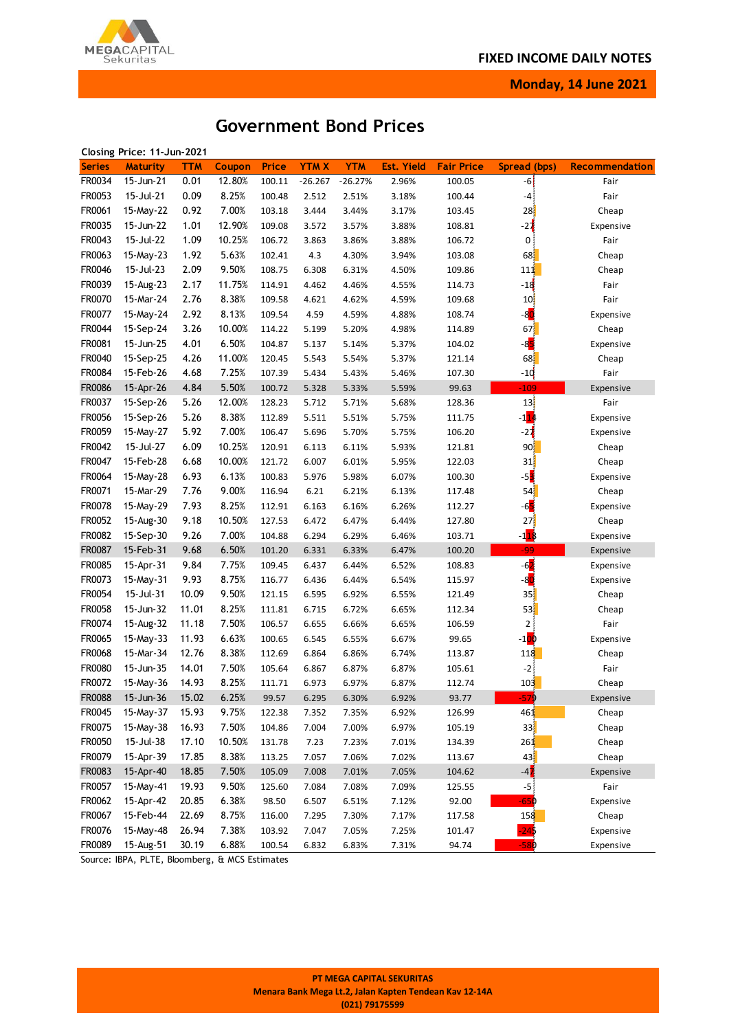

**Monday, 14 June 2021**

# **Government Bond Prices**

|               | Closing Price: 11-Jun-2021 |            |        |              |             |            |                   |                   |                   |                |
|---------------|----------------------------|------------|--------|--------------|-------------|------------|-------------------|-------------------|-------------------|----------------|
| <b>Series</b> | <b>Maturity</b>            | <b>TTM</b> | Coupon | <b>Price</b> | <b>YTMX</b> | <b>YTM</b> | <b>Est. Yield</b> | <b>Fair Price</b> | Spread (bps)      | Recommendation |
| FR0034        | 15-Jun-21                  | 0.01       | 12.80% | 100.11       | $-26.267$   | $-26.27%$  | 2.96%             | 100.05            | $-6$              | Fair           |
| FR0053        | 15-Jul-21                  | 0.09       | 8.25%  | 100.48       | 2.512       | 2.51%      | 3.18%             | 100.44            | -41               | Fair           |
| FR0061        | 15-May-22                  | 0.92       | 7.00%  | 103.18       | 3.444       | 3.44%      | 3.17%             | 103.45            | 28                | Cheap          |
| FR0035        | 15-Jun-22                  | 1.01       | 12.90% | 109.08       | 3.572       | 3.57%      | 3.88%             | 108.81            | $-2\frac{1}{2}$   | Expensive      |
| FR0043        | 15-Jul-22                  | 1.09       | 10.25% | 106.72       | 3.863       | 3.86%      | 3.88%             | 106.72            | 0                 | Fair           |
| FR0063        | 15-May-23                  | 1.92       | 5.63%  | 102.41       | 4.3         | 4.30%      | 3.94%             | 103.08            | 68                | Cheap          |
| FR0046        | 15-Jul-23                  | 2.09       | 9.50%  | 108.75       | 6.308       | 6.31%      | 4.50%             | 109.86            | 111               | Cheap          |
| FR0039        | 15-Aug-23                  | 2.17       | 11.75% | 114.91       | 4.462       | 4.46%      | 4.55%             | 114.73            | $-18$             | Fair           |
| FR0070        | 15-Mar-24                  | 2.76       | 8.38%  | 109.58       | 4.621       | 4.62%      | 4.59%             | 109.68            | 10 <sub>1</sub>   | Fair           |
| FR0077        | 15-May-24                  | 2.92       | 8.13%  | 109.54       | 4.59        | 4.59%      | 4.88%             | 108.74            | -8 <mark>d</mark> | Expensive      |
| FR0044        | 15-Sep-24                  | 3.26       | 10.00% | 114.22       | 5.199       | 5.20%      | 4.98%             | 114.89            | 67                | Cheap          |
| FR0081        | 15-Jun-25                  | 4.01       | 6.50%  | 104.87       | 5.137       | 5.14%      | 5.37%             | 104.02            | -8 <mark>5</mark> | Expensive      |
| FR0040        | 15-Sep-25                  | 4.26       | 11.00% | 120.45       | 5.543       | 5.54%      | 5.37%             | 121.14            | 68                | Cheap          |
| FR0084        | 15-Feb-26                  | 4.68       | 7.25%  | 107.39       | 5.434       | 5.43%      | 5.46%             | 107.30            | $-10$             | Fair           |
| <b>FR0086</b> | 15-Apr-26                  | 4.84       | 5.50%  | 100.72       | 5.328       | 5.33%      | 5.59%             | 99.63             | $-109$            | Expensive      |
| FR0037        | 15-Sep-26                  | 5.26       | 12.00% | 128.23       | 5.712       | 5.71%      | 5.68%             | 128.36            | 13                | Fair           |
| FR0056        | 15-Sep-26                  | 5.26       | 8.38%  | 112.89       | 5.511       | 5.51%      | 5.75%             | 111.75            | $-1$ 14           | Expensive      |
| FR0059        | 15-May-27                  | 5.92       | 7.00%  | 106.47       | 5.696       | 5.70%      | 5.75%             | 106.20            | $-2\frac{1}{2}$   | Expensive      |
| FR0042        | 15-Jul-27                  | 6.09       | 10.25% | 120.91       | 6.113       | 6.11%      | 5.93%             | 121.81            | 90                | Cheap          |
| FR0047        | 15-Feb-28                  | 6.68       | 10.00% | 121.72       | 6.007       | 6.01%      | 5.95%             | 122.03            | 31                | Cheap          |
| FR0064        | 15-May-28                  | 6.93       | 6.13%  | 100.83       | 5.976       | 5.98%      | 6.07%             | 100.30            | $-52$             | Expensive      |
| FR0071        | 15-Mar-29                  | 7.76       | 9.00%  | 116.94       | 6.21        | 6.21%      | 6.13%             | 117.48            | 54                | Cheap          |
| FR0078        | 15-May-29                  | 7.93       | 8.25%  | 112.91       | 6.163       | 6.16%      | 6.26%             | 112.27            | $-6$              | Expensive      |
| FR0052        | 15-Aug-30                  | 9.18       | 10.50% | 127.53       | 6.472       | 6.47%      | 6.44%             | 127.80            | 27                | Cheap          |
| FR0082        | 15-Sep-30                  | 9.26       | 7.00%  | 104.88       | 6.294       | 6.29%      | 6.46%             | 103.71            | $-118$            | Expensive      |
| FR0087        | 15-Feb-31                  | 9.68       | 6.50%  | 101.20       | 6.331       | 6.33%      | 6.47%             | 100.20            | $-99$             | Expensive      |
| FR0085        | 15-Apr-31                  | 9.84       | 7.75%  | 109.45       | 6.437       | 6.44%      | 6.52%             | 108.83            | $-6$              | Expensive      |
| FR0073        | 15-May-31                  | 9.93       | 8.75%  | 116.77       | 6.436       | 6.44%      | 6.54%             | 115.97            | -8 <mark>0</mark> | Expensive      |
| FR0054        | 15-Jul-31                  | 10.09      | 9.50%  | 121.15       | 6.595       | 6.92%      | 6.55%             | 121.49            | 35 <sup>1</sup>   | Cheap          |
| FR0058        | 15-Jun-32                  | 11.01      | 8.25%  | 111.81       | 6.715       | 6.72%      | 6.65%             | 112.34            | 53                | Cheap          |
| FR0074        | 15-Aug-32                  | 11.18      | 7.50%  | 106.57       | 6.655       | 6.66%      | 6.65%             | 106.59            | 2                 | Fair           |
| FR0065        | 15-May-33                  | 11.93      | 6.63%  | 100.65       | 6.545       | 6.55%      | 6.67%             | 99.65             | $-100$            | Expensive      |
| FR0068        | 15-Mar-34                  | 12.76      | 8.38%  | 112.69       | 6.864       | 6.86%      | 6.74%             | 113.87            | 118               | Cheap          |
| FR0080        | 15-Jun-35                  | 14.01      | 7.50%  | 105.64       | 6.867       | 6.87%      | 6.87%             | 105.61            | $-2$              | Fair           |
| FR0072        | 15-May-36                  | 14.93      | 8.25%  | 111.71       | 6.973       | 6.97%      | 6.87%             | 112.74            | 103               | Cheap          |
| <b>FR0088</b> | 15-Jun-36                  | 15.02      | 6.25%  | 99.57        | 6.295       | 6.30%      | 6.92%             | 93.77             | $-579$            | Expensive      |
| FR0045        | 15-May-37                  | 15.93      | 9.75%  | 122.38       | 7.352       | 7.35%      | 6.92%             | 126.99            | 461               | Cheap          |
| FR0075        | 15-May-38                  | 16.93      | 7.50%  | 104.86       | 7.004       | 7.00%      | 6.97%             | 105.19            | 33                | Cheap          |
| FR0050        | 15-Jul-38                  | 17.10      | 10.50% | 131.78       | 7.23        | 7.23%      | 7.01%             | 134.39            | 261               | Cheap          |
| FR0079        | 15-Apr-39                  | 17.85      | 8.38%  | 113.25       | 7.057       | 7.06%      | 7.02%             | 113.67            | 43                | Cheap          |
| FR0083        | 15-Apr-40                  | 18.85      | 7.50%  | 105.09       | 7.008       | 7.01%      | 7.05%             | 104.62            | $-4$              | Expensive      |
| FR0057        | 15-May-41                  | 19.93      | 9.50%  | 125.60       | 7.084       | 7.08%      | 7.09%             | 125.55            | $-5$              | Fair           |
| FR0062        | 15-Apr-42                  | 20.85      | 6.38%  | 98.50        | 6.507       | 6.51%      | 7.12%             | 92.00             | -65¢              | Expensive      |
| FR0067        | 15-Feb-44                  | 22.69      | 8.75%  | 116.00       | 7.295       | 7.30%      | 7.17%             | 117.58            | 158               | Cheap          |
| FR0076        | 15-May-48                  | 26.94      | 7.38%  | 103.92       | 7.047       | 7.05%      | 7.25%             | 101.47            | $-24$             | Expensive      |
| FR0089        | 15-Aug-51                  | 30.19      | 6.88%  | 100.54       | 6.832       | 6.83%      | 7.31%             | 94.74             | $-580$            | Expensive      |
|               |                            |            |        |              |             |            |                   |                   |                   |                |

Source: IBPA, PLTE, Bloomberg, & MCS Estimates